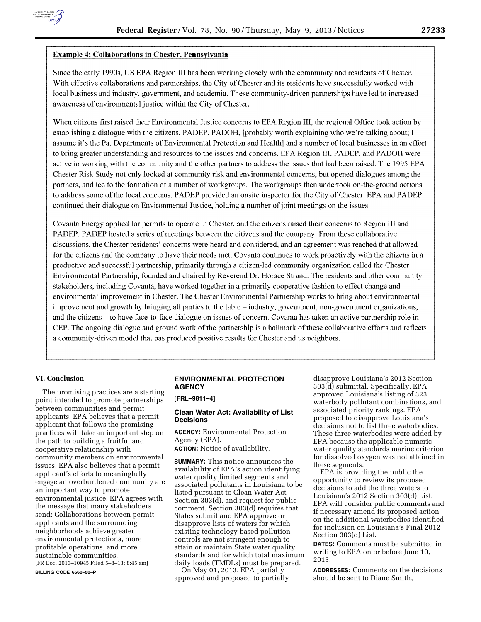

Since the early 1990s, US EPA Region III has been working closely with the community and residents of Chester. With effective collaborations and partnerships, the City of Chester and its residents have successfully worked with local business and industry, government, and academia. These community-driven partnerships have led to increased awareness of environmental justice within the City of Chester.

When citizens first raised their Environmental Justice concerns to EPA Region III, the regional Office took action by establishing a dialogue with the citizens, PADEP, PADOH, [probably worth explaining who we're talking about; I assume it's the Pa. Departments of Environmental Protection and Health] and a number of local businesses in an effort to bring greater understanding and resources to the issues and concerns. EPA Region III, PADEP, and PADOH were active in working with the community and the other partners to address the issues that had been raised. The 1995 EPA Chester Risk Study not only looked at community risk and environmental concerns, but opened dialogues among the partners, and led to the formation of a number of workgroups. The workgroups then undertook on-the-ground actions to address some of the local concerns. PADEP provided an onsite inspector for the City of Chester. EPA and PADEP continued their dialogue on Environmental Justice, holding a number of joint meetings on the issues.

Covanta Energy applied for permits to operate in Chester, and the citizens raised their concerns to Region III and PADEP. PADEP hosted a series of meetings between the citizens and the company. From these collaborative discussions, the Chester residents' concerns were heard and considered, and an agreement was reached that allowed for the citizens and the company to have their needs met. Covanta continues to work proactively with the citizens in a productive and successful partnership, primarily through a citizen-led community organization called the Chester Environmental Partnership, founded and chaired by Reverend Dr. Horace Strand. The residents and other community stakeholders, including Covanta, have worked together in a primarily cooperative fashion to effect change and environmental improvement in Chester. The Chester Environmental Partnership works to bring about environmental improvement and growth by bringing all parties to the table – industry, government, non-government organizations, and the citizens – to have face-to-face dialogue on issues of concern. Covanta has taken an active partnership role in CEP. The ongoing dialogue and ground work of the partnership is a hallmark of these collaborative efforts and reflects a community-driven model that has produced positive results for Chester and its neighbors.

### **VI. Conclusion**

The promising practices are a starting point intended to promote partnerships between communities and permit applicants. EPA believes that a permit applicant that follows the promising practices will take an important step on the path to building a fruitful and cooperative relationship with community members on environmental issues. EPA also believes that a permit applicant's efforts to meaningfully engage an overburdened community are an important way to promote environmental justice. EPA agrees with the message that many stakeholders send: Collaborations between permit applicants and the surrounding neighborhoods achieve greater environmental protections, more profitable operations, and more sustainable communities. [FR Doc. 2013–10945 Filed 5–8–13; 8:45 am] **BILLING CODE 6560–50–P** 

# **ENVIRONMENTAL PROTECTION AGENCY**

**[FRL–9811–4]** 

#### **Clean Water Act: Availability of List Decisions**

**AGENCY:** Environmental Protection Agency (EPA).

**ACTION:** Notice of availability.

**SUMMARY:** This notice announces the availability of EPA's action identifying water quality limited segments and associated pollutants in Louisiana to be listed pursuant to Clean Water Act Section 303(d), and request for public comment. Section 303(d) requires that States submit and EPA approve or disapprove lists of waters for which existing technology-based pollution controls are not stringent enough to attain or maintain State water quality standards and for which total maximum daily loads (TMDLs) must be prepared.

On May 01, 2013, EPA partially approved and proposed to partially

disapprove Louisiana's 2012 Section 303(d) submittal. Specifically, EPA approved Louisiana's listing of 323 waterbody pollutant combinations, and associated priority rankings. EPA proposed to disapprove Louisiana's decisions not to list three waterbodies. These three waterbodies were added by EPA because the applicable numeric water quality standards marine criterion for dissolved oxygen was not attained in these segments.

EPA is providing the public the opportunity to review its proposed decisions to add the three waters to Louisiana's 2012 Section 303(d) List. EPA will consider public comments and if necessary amend its proposed action on the additional waterbodies identified for inclusion on Louisiana's Final 2012 Section 303(d) List.

**DATES:** Comments must be submitted in writing to EPA on or before June 10, 2013.

**ADDRESSES:** Comments on the decisions should be sent to Diane Smith,